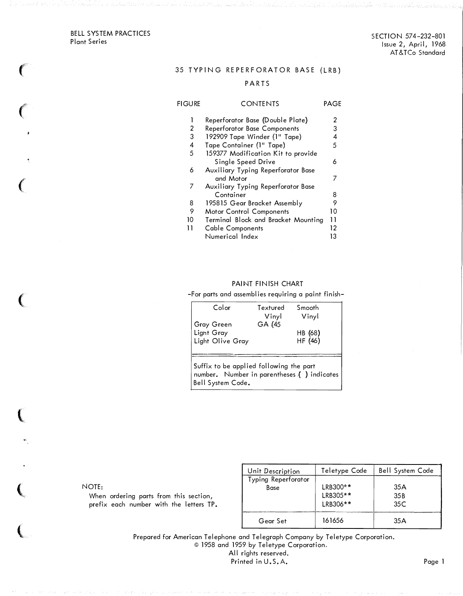BELL SYSTEM PRACTICES Plant Series

 $\sim$   $\sim$   $\sim$ 

€

 $\sim$ 

 $\overline{C}$ 

 $\big($ 

## 35 TYPING REPERFORATOR BASE (LRB)

## PARTS

| FIGURE | CONTENTS                            | PAGE |
|--------|-------------------------------------|------|
| 1      | Reperforator Base (Double Plate)    | 2    |
| 2      | <b>Reperforator Base Components</b> | 3    |
| 3      | 192909 Tape Winder (1" Tape)        | 4    |
| 4      | Tape Container (1" Tape)            | 5    |
| 5      | 159377 Modification Kit to provide  |      |
|        | Single Speed Drive                  | 6    |
| 6      | Auxiliary Typing Reperforator Base  |      |
|        | and Motor                           | 7    |
| 7      | Auxiliary Typing Reperforator Base  |      |
|        | Container                           | 8    |
| 8      | 195815 Gear Bracket Assembly        | 9    |
| 9      | Motor Control Components            | 10   |
| 10     | Terminal Block and Bracket Mounting | 11   |
| 11     | Cable Components                    | 12   |
|        | Numerical Index                     | 13   |

#### PAINT FINISH CHART

-For parts and assemblies requiring a paint finish-

| Color                                            | Textured<br>Vinyl | Smooth<br>Vinyl    |
|--------------------------------------------------|-------------------|--------------------|
| Gray Green<br>  Light Gray<br>  Light Olive Gray | GA (45            | HB (68)<br>HF (46) |
|                                                  |                   |                    |

Suffix to be applied following the part number. Number in parentheses { ) indicates Bell System Code.

NOTE:

When ordering parts from this section, prefix each number with the letters TP.

| Unit Description    | Teletype Code | <b>Bell System Code</b> |
|---------------------|---------------|-------------------------|
| Typing Reperforator |               |                         |
| Base                | LRB300**      | 35A                     |
|                     | LRB305**      | 35 <sub>B</sub>         |
|                     | LRB306**      | 35C                     |
|                     |               |                         |
| Gear Set            | 161656        | 35A                     |

Prepared for American Telephone and Telegraph Company by Teletype Corporation. © 1958 and 1959 by Teletype Corporation. All rights reserved.

Printed in U.S.A. Page 1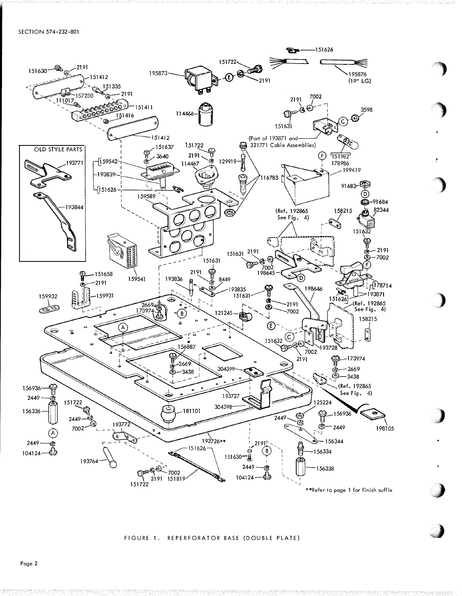

#### FIGURE 1. REPERFORATOR BASE (DOUBLE PLATE)

Page 2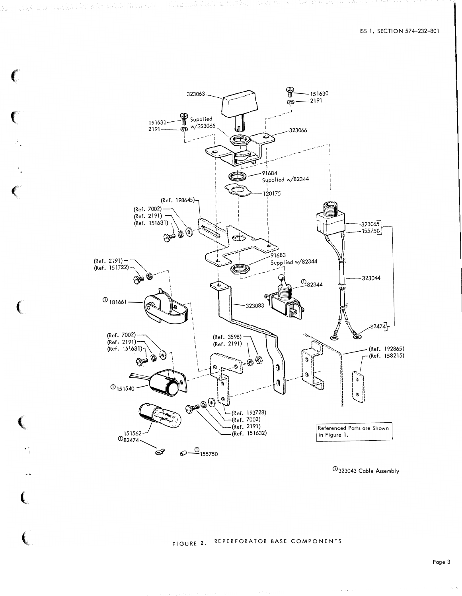

€

 $\overline{\text{O}}$ 323043 Cable Assembly

and a state of the

# FIGURE 2. REPERFORATOR BASE COMPONENTS

 $\sim$ 

 $\mathcal{C}_{\mathcal{A}}$  .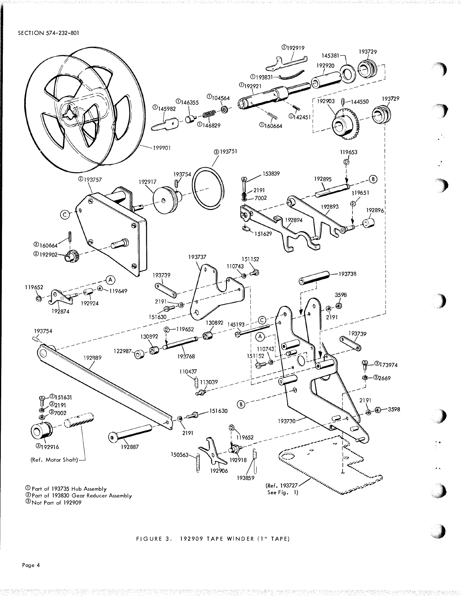SECTION 574-232-801



## FIGURE 3. 192909 TAPE WINDER (1" TAPE)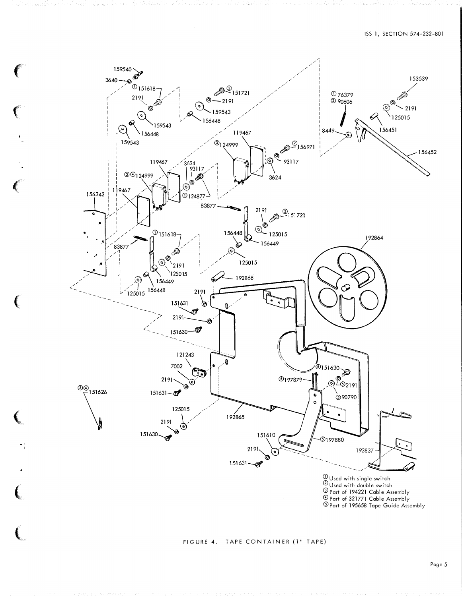

 $\ddot{\phantom{0}}$ 

 $\left($ 

 $\left($ 

(

**Contract Contract Contract Contract Contract Contract Contract Contract Contract Contract Contract Contract Contract Contract Contract Contract Contract Contract Contract Contract Contract Contract Contract Contract Contr** 

 $\ddot{\phantom{0}}$ 

 $\blacksquare$ 

**Carlotte** 

## FIGURE 4, TAPE CONTAINER (1" TAPE)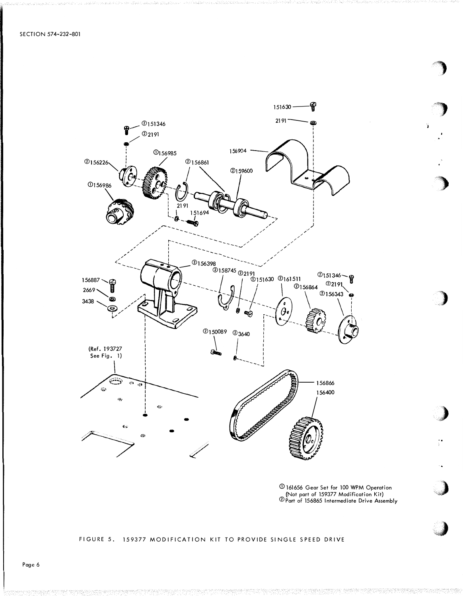

① 161656 Gear Set for 100 WPM Operation<br>(Not part of 159377 Modification Kit)<br>② Part of 156865 Intermediate Drive Assembly

## FIGURE 5. 159377 MODIFICATION KIT TO PROVIDE SINGLE SPEED DRIVE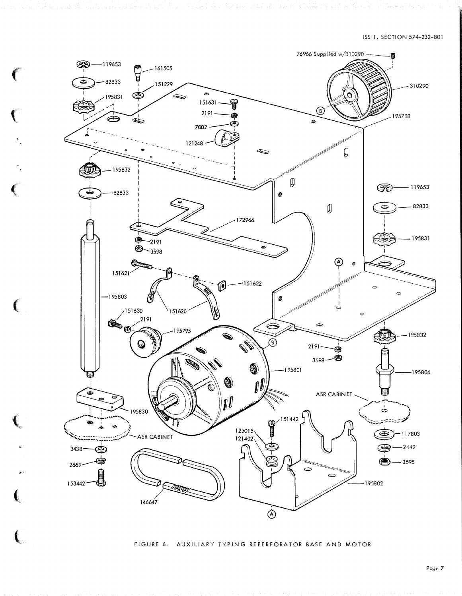

€

Ç

FIGURE 6. AUXILIARY TYPING REPERFORATOR BASE AND MOTOR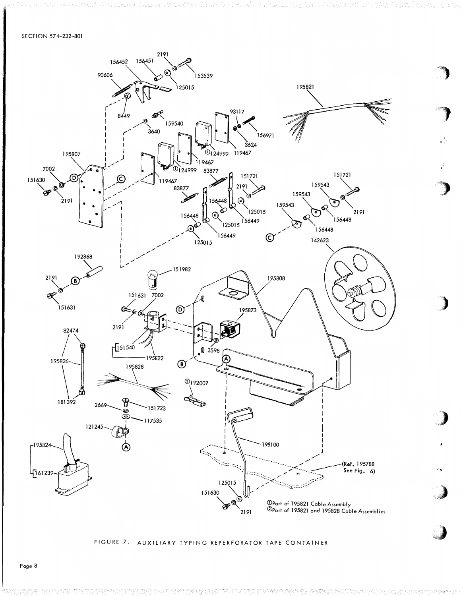#### SECTION 57 4-232-801



'

FIGURE 7. AUXILIARY TYPING REPERFORATOR TAPE CONTAINER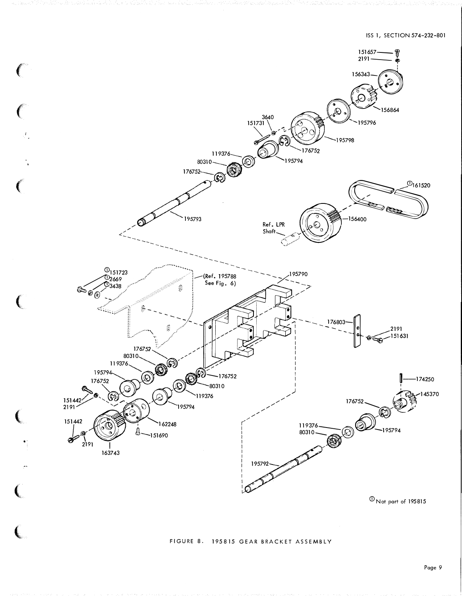

 $\textcircled{1}$  Not part of 195815

## FIGURE 8. 195815 GEAR BRACKET ASSEMBLY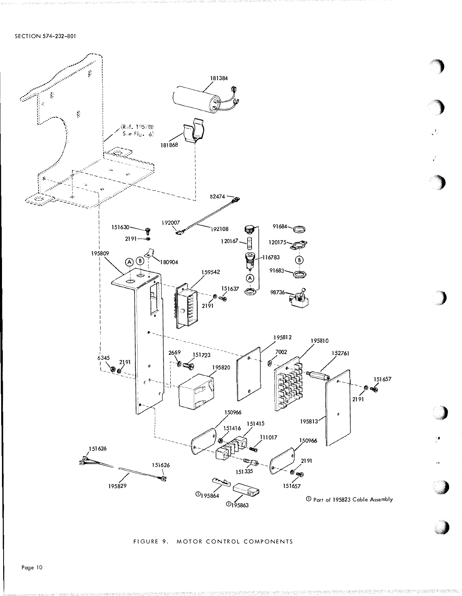

FIGURE 9. MOTOR CONTROL COMPONENTS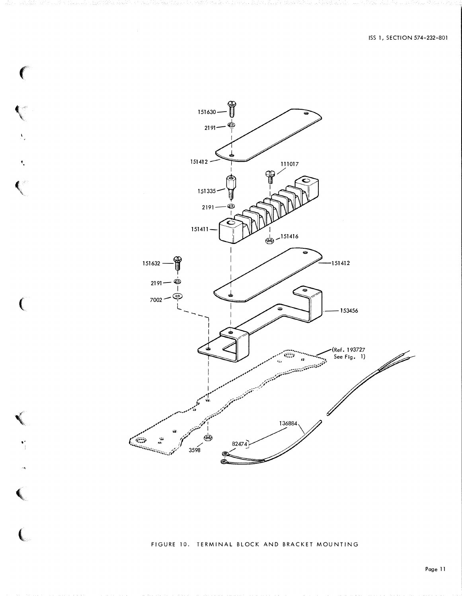

 $\big($ 

 $\ddot{\mathcal{A}}$ 

 $\overline{C}$ 

 $\bullet$ 

 $\mathbb{R}^4$ 

 $\blacktriangleleft$ 

 $\overline{\mathbf{C}}$ 

FIGURE 10. TERMINAL BLOCK AND BRACKET MOUNTING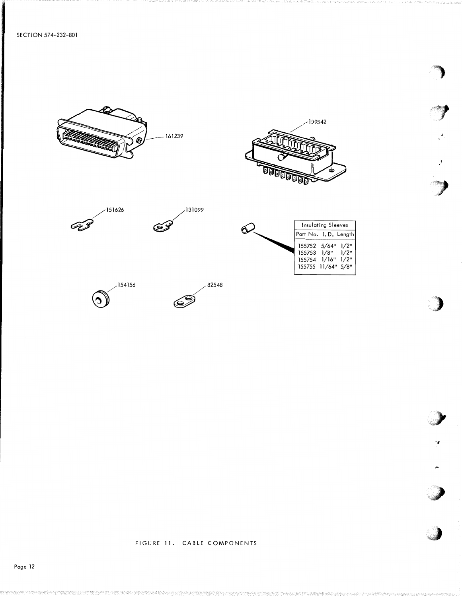



·'

..

"'

,  $\bullet$ 







|                                                                                              | Insulating Sleeves |  |
|----------------------------------------------------------------------------------------------|--------------------|--|
| Part No. 1.D. Length                                                                         |                    |  |
| 155752 5/64" 1/2"<br>$155753$ $1/8"$ $1/2"$<br>$155754$ $1/16"$ $1/2"$<br>155755 11/64" 5/8" |                    |  |
|                                                                                              |                    |  |

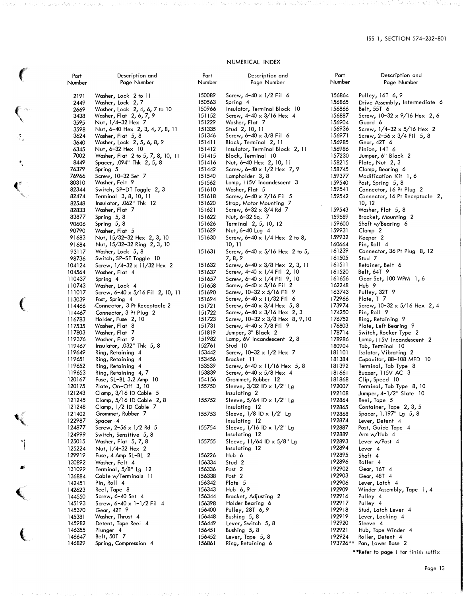#### NUMERICAL INDEX

| Part   | Description and                         | Part   | Description and                        |
|--------|-----------------------------------------|--------|----------------------------------------|
| Number | Page Number                             | Number | Page Number                            |
|        |                                         |        |                                        |
| 2191   | Washer, Lock 2 to 11                    | 150089 | Screw, $4-40 \times 1/2$ Fil 6         |
| 2449   | Washer, Lock 2, 7                       | 150563 | Spring 4                               |
| 2669   | Washer, Lock 2, 4, 6, 7 to 10           | 150966 | Insulator, Terminal Block 10           |
| 3438   | Washer, Flat 2, 6, 7, 9                 | 151152 | Screw, $4 - 40 \times 3 / 16$ Hex 4    |
| 3595   | Nut, 1/4-32 Hex 7                       | 151229 | Washer <b>,</b> Flat 7                 |
| 3598   | Nut, 6-40 Hex 2, 3, 4, 7, 8, 11         | 151335 | Stud 2, 10, 11                         |
| 3624   | Washer, Flat 5, 8                       | 151346 | Screw, $6 - 40 \times 3/8$ Fil 6       |
|        |                                         | 151411 |                                        |
| 3640   | Washer, Lock 2, 5, 6, 8, 9              | 151412 | Block, Terminal 2, 11                  |
| 6345   | Nut, 6-32 Hex 10                        |        | Insulator, Terminal Block 2, 11        |
| 7002   | Washer, Flat 2 to 5, 7, 8, 10, 11       | 151415 | Block, Terminal 10                     |
| 8449   | Spacer, .094" Thk 2, 5, 8               | 151416 | Nut, 6-40 Hex 2, 10, 11                |
| 76379  | Spring 5                                | 151442 | Screw, 6-40 $\times$ 1/2 Hex 7, 9      |
| 76966  | Screw, 10-32 Set 7                      | 151540 | Lampholder 3,8                         |
| 80310  | Washer <b>,</b> Felt 9                  | 151562 | Lamp, 115V Incandescent 3              |
| 82344  | Switch, SP-DT Toggle 2, 3               | 151610 | Washer, Flat 5                         |
| 82474  | Terminal 3, 8, 10, 11                   | 151618 | Screw, $6 - 40 \times 7/16$ Fil 5      |
| 82548  | Insulator, .062" Thk 12                 | 151620 | Strap, Motor Mounting 7                |
| 82833  | Washer <b>,</b> Flat 7                  | 151621 | Screw, 6–32 $\times$ 3/4 Rd 7          |
| 83877  | Spring $5, 8$                           | 151622 | Nut, 6-32 Sq. 7                        |
| 90606  | Spring 5, 8                             | 151626 | Terminal 2, 5, 10, 12                  |
| 90790  | Washer, Flat 5                          | 151629 | Nut, 6-40 Lug 4                        |
| 91683  | Nut, 15/32-32 Hex 2, 3, 10              | 151630 | Screw, 6-40 $\times$ 1/4 Hex 2 to 8,   |
| 91684  | Nut, 15/32-32 Ring 2, 3, 10             |        | 10, 11                                 |
| 93117  | Washer, Lock 5, 8                       | 151631 | Screw, 6-40 $\times$ 5/16 Hex 2 to 5,  |
| 98736  | Switch, SP-ST Toggle 10                 |        | 7,8,9                                  |
| 104124 | Screw, $1/4 - 32 \times 11/32$ Hex 2    | 151632 | Screw, 6-40 $\times$ 3/8 Hex 2, 3, 11  |
| 104564 | Washer, Flat 4                          | 151637 | Screw, 4-40 x 1/4 Fil 2, 10            |
| 110437 |                                         | 151657 | Screw, 6-40 $\times$ 1/4 Fil 9, 10     |
|        | Spring 4                                |        |                                        |
| 110743 | Washer, Lock 4                          | 151658 | Screw, $6 - 40 \times 5/16$ Fil 2      |
| 111017 | Screw, 6-40 $\times$ 5/16 Fil 2, 10, 11 | 151690 | Screw, $10-32 \times 5/16$ Fil 9       |
| 113039 | Post, Spring 4                          | 151694 | Screw, 6-40 x 11/32 Fil 6              |
| 114466 | Connector, 3 Pt Receptacle 2            | 151721 | Screw, 6-40 $\times$ 3/4 Hex 5, 8      |
| 114467 | Connector, 3 Pt Plug 2                  | 151722 | Screw, $6-40 \times 3/16$ Hex 2, 3     |
| 116783 | Holder, Fuse 2, 10                      | 151723 | Screw, $10-32 \times 3/8$ Hex 8, 9, 10 |
| 117535 | Washer, Flat 8                          | 151731 | Screw, $4 - 40 \times 7/8$ Fil 9       |
| 117803 | Washer, Flat 7                          | 151819 | Jumper, 3" Black 2                     |
| 119376 | Washer <b>,</b> Flat 9                  | 151982 | Lamp, 6V Incandescent 2, 8             |
| 119467 | Insulator, $.032"$ Thk $5, 8$           | 152761 | Stud 10                                |
| 119649 | Ring, Retaining 4                       | 153442 | Screw, $10-32 \times 1/2$ Hex 7        |
| 119651 | Ring, Retaining 4                       | 153456 | Bracket 11                             |
| 119652 | Ring, Retaining 4                       | 153539 | Screw, 6-40 $\times$ 11/16 Hex 5, 8    |
| 119653 | Ring, Retaining 4, 7                    | 153839 | Screw, 6-40 $\times$ 5/8 Hex 4         |
| 120167 | Fuse, SL-BL 3.2 Amp 10                  | 154156 | Grommet, Rubber 12                     |
| 120175 | Plate, On-Off 3, 10                     | 155750 | Sleeve, $3/32$ ID $\times$ 1/2" Lg     |
| 121243 | Clamp, $3/16$ ID Cable 5                |        | Insulating 2                           |
| 121245 | Clamp, 5/16 ID Cable 2, 8               | 155752 | Sleeve, $5/64$ ID $\times$ 1/2" Lg     |
| 121248 | Clamp, 1/2 ID Cable 7                   |        | Insulating 12                          |
| 121402 | Grommet, Rubber 7                       | 155753 | Sleeve, $1/8$ ID $\times$ $1/2$ " Lg   |
| 122987 | Spacer 4                                |        | Insulating 12                          |
| 124877 | Screw, $2 - 56 \times 1/2$ Rd 5         | 155754 | Sleeve, $1/16$ ID $\times$ $1/2$ " Lg  |
| 124999 | Switch, Sensitive 5, 8                  |        | Insulating 12                          |
| 125015 | Washer, Flat 5, 7, 8                    | 155755 | Sleeve, 11/64 ID x 5/8" Lg             |
| 125224 | Nut, 1/4-32 Hex 2                       |        | Insulating 12                          |
| 129919 | Fuse, 4 Amp SL-BL 2                     | 156226 | Hub 6                                  |
| 130892 | Washer, Felt 4                          | 156334 | Stud 2                                 |
|        | Terminal, 5/8" Lg 12                    | 156336 | Post <sub>2</sub>                      |
| 131099 |                                         |        |                                        |
| 136884 | Cable w/Terminals 11                    | 156338 | Post <sub>2</sub>                      |
| 142451 | Pin, Roll 4                             | 156342 | Plate 5                                |
| 142623 | Reel, Tape 8                            | 156343 | Hub 6,9                                |
| 144550 | Screw, 6-40 Set 4                       | 156344 | Bracket, Adjusting 2                   |
| 145193 | Screw, $6-40 \times 1-1/2$ Fil 4        | 156398 | Holder Bearing 6                       |
| 145370 | Gear, 42T 9                             | 156400 | Pulley, 28T 6, 9                       |
| 145381 | Washer, Thrust 4                        | 156448 | Bushing 5,8                            |
| 145982 | Detent, Tape Reel 4                     | 156449 | Lever, Switch 5, 8                     |
| 146355 | Plunger 4                               | 156451 | Bushing 5,8                            |
| 146647 | Belt, 50T 7                             | 156452 | Lever, Tape 5, 8                       |
| 146829 | Spring, Compression 4                   | 156861 | Ring, Retaining 6                      |

f

\

 $\mathfrak{t}_{\ast}$ 

1 '

 $\left($  $\mathbb{N}_{\mathbb{N}_{\mathbb{N}}}$ 

 $\big($ 

,

�i

.,:

 $\left($ 

(

| iption and              | Part             | Description and                                   |
|-------------------------|------------------|---------------------------------------------------|
| Number                  | Number           | Page Number                                       |
| $1/2$ Fil 6             | 156864           | Pulley, 16T 6, 9                                  |
|                         | 156865           | Drive Assembly, Intermediate 6                    |
| inal Block 10           | 156866           | Belt, 55T 6                                       |
| $3/16$ Hex 4            | 156887           | Screw, $10-32 \times 9/16$ Hex 2, 6               |
| 7                       | 156904           | Guard 6                                           |
| L                       | 156936           | Screw, $1/4 - 32 \times 5/16$ Hex 2               |
| $3/8$ Fil 6             | 156971           | Screw, $2-56 \times 3/4$ Fil 5, 8                 |
| 11 , 2 ll               | 156985           | Gear, 42T 6                                       |
| inal Block 2, 11        | 156986           | Pinion, 14T 6                                     |
| 10 اد                   | 157230           | Jumper, 6" Black 2                                |
| < 2, 10, 11             | 158215           | Plate, Nut 2, 3                                   |
| $1/2$ Hex $7, 9$<br>, 8 | 158745<br>159377 | Clamp, Bearing 6                                  |
| candescent 3            | 159540           | Modification Kit 1,6<br>Post, Spring 5, 8         |
| 5                       | 159541           | Connector, 16 Pt Plug 2                           |
| $7/16$ Fil 5            | 159542           | Connector, 16 Pt Receptacle 2,                    |
| 1ounting 7              |                  | 10, 12                                            |
| $3/4$ Rd 7              | 159543           | Washer, Flat 5, 8                                 |
| 7                       | 159589           | Bracket, Mounting 2                               |
| , 10, 12                | 159600           | Shaft w/Bearing 6                                 |
| -4                      | 159931           | Clamp <sub>2</sub>                                |
| $1/4$ Hex 2 to 8,       | 159932           | Keeper 2                                          |
|                         | 160664           | Pin, Roll 4                                       |
| $5/16$ Hex 2 to 5,      | 161239           | Connector, 36 Pt Plug 8, 12                       |
|                         | 161505           | Stud 7                                            |
| 3/8 Hex 2, 3, 11        | 161511           | Retainer, Belt 6                                  |
| $1/4$ Fil 2, 10         | 161520           | Belt, 64T 9                                       |
| 1/4 Fil 9, 10           | 161656           | Gear Set, 100 WPM 1, 6                            |
| $5/16$ Fil 2            | 162248           | Hub <sub>9</sub>                                  |
| x 5/16 Fil 9            | 163743           | Pulley, 32T 9                                     |
| $11/32$ Fil 6           | 172966           | Plate, T 7                                        |
| $3/4$ Hex 5, 8          | 173974           | Screw, 10-32 x 5/16 Hex 2, 4                      |
| $3/16$ Hex 2, 3         | 174250           | Pin, Roll 9                                       |
| x 3/8 Hex 8, 9, 10      | 176752           | Ring, Retaining 9                                 |
| 7/8 Fil 9               | 176803           | Plate, Left Bearing 9                             |
| ack 2                   | 178714           | Switch, Rocker Type 2                             |
| ndescent 2,8            | 178986           | Lamp, 115V Incandescent 2                         |
|                         | 180904<br>181101 | Tab, Terminal 10                                  |
| x 1/2 Hex 7             | 181384           | Isolator, Vibrating 2<br>Capacitor, 88-108 MFD 10 |
| $11/16$ Hex 5, 8        | 181392           | Terminal, Tab Type 8                              |
| $5/8$ Hex 4             | 181661           | Buzzer, 115V AC 3                                 |
| ber 12                  | 181868           | Clip, Speed 10                                    |
| D x 1/2" Lg             | 192007           | Terminal, Tab Type 8, 10                          |
|                         | 192108           | Jumper, 4-1/2" Slate 10                           |
| ID x 1/2" Lg            | 192864           | Reel, Tape 5                                      |
|                         | 192865           | Container, Tape 2, 3, 5                           |
| ) x 1/2" Lg             | 192868           | Spacer, 1.197" Lg 5, 8                            |
|                         | 192874           | Lever, Detent 4                                   |
| D x 1/2" Lg             | 192887           | Post, Guide Tape 4                                |
|                         | 192889           | Arm w/Hub 4                                       |
| ID $\times$ 5/8" Lg     | 192893           | Lever w/Post 4                                    |
|                         | 192894           | Lever 4                                           |
|                         | 192895           | Shaft 4                                           |
|                         | 192896           | Roller 4                                          |
|                         | 192902           | Gear, 16T 4                                       |
|                         | 192903           | Gear, 48T 4                                       |
|                         | 192906           | Lever, Latch 4                                    |
|                         | 192909           | Winder Assembly, Tape 1, 4                        |
| iting 2:<br>, 6         | 192916<br>192917 | Pulley 4<br>Pulley 4                              |
| , 9                     | 192918           | Stud, Latch Lever 4                               |
|                         | 192919           | Lever, Locking 4                                  |
| 5,8                     | 192920           | Sleeve 4                                          |
|                         | 192921           | Hub, Tape Winder 4                                |
| , 8                     | 192924           | Roller, Detent 4                                  |
| g 6                     | 193726**         | Pan, Lower Base 2                                 |
|                         |                  | **Refer to page 1 for finish suffix               |

page 1 for finish suffix